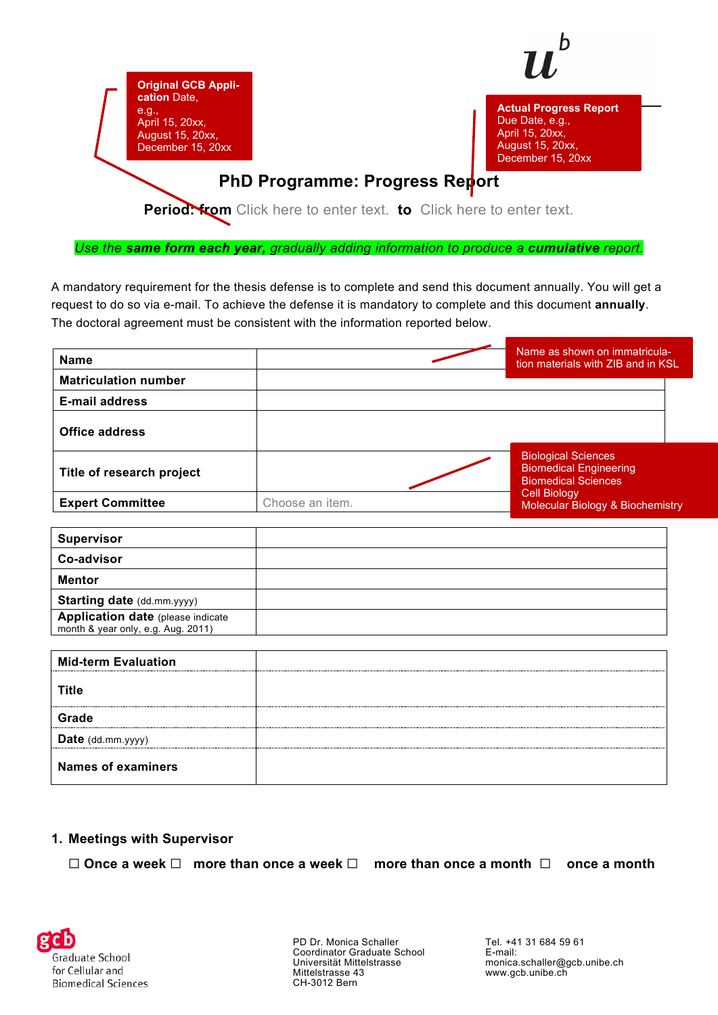

**Actual Progress Report** Due Date, e.g., April 15, 20xx, August 15, 20xx, December 15, 20xx

## **PhD Programme: Progress Report**

**Original GCB Appli-**

**cation** Date, e.g.,

April 15, 20xx, August 15, 20xx, December 15, 20xx

**Period: from** Click here to enter text. **to** Click here to enter text.

*Use the same form each year, gradually adding information to produce a cumulative report.*

A mandatory requirement for the thesis defense is to complete and send this document annually. You will get a request to do so via e-mail. To achieve the defense it is mandatory to complete and this document **annually**. The doctoral agreement must be consistent with the information reported below.

| <b>Name</b>                 |                 | Name as shown on immatricula-<br>tion materials with ZIB and in KSL                       |
|-----------------------------|-----------------|-------------------------------------------------------------------------------------------|
| <b>Matriculation number</b> |                 |                                                                                           |
| <b>E-mail address</b>       |                 |                                                                                           |
| <b>Office address</b>       |                 |                                                                                           |
| Title of research project   |                 | <b>Biological Sciences</b><br><b>Biomedical Engineering</b><br><b>Biomedical Sciences</b> |
| <b>Expert Committee</b>     | Choose an item. | Cell Biology<br>Molecular Biology & Biochemistry                                          |

| <b>Supervisor</b>                                                               |  |
|---------------------------------------------------------------------------------|--|
| Co-advisor                                                                      |  |
| <b>Mentor</b>                                                                   |  |
| <b>Starting date (dd.mm.yyyy)</b>                                               |  |
| <b>Application date (please indicate)</b><br>month & year only, e.g. Aug. 2011) |  |

| <b>Mid-term Evaluation</b> |  |
|----------------------------|--|
| <b>Title</b>               |  |
| Grade                      |  |
| Date (dd.mm.yyyy)          |  |
| <b>Names of examiners</b>  |  |

#### **1. Meetings with Supervisor**

☐ **Once a week** ☐ **more than once a week** ☐ **more than once a month** ☐ **once a month** 



PD Dr. Monica Schaller Coordinator Graduate School Universität Mittelstrasse Mittelstrasse 43 CH-3012 Bern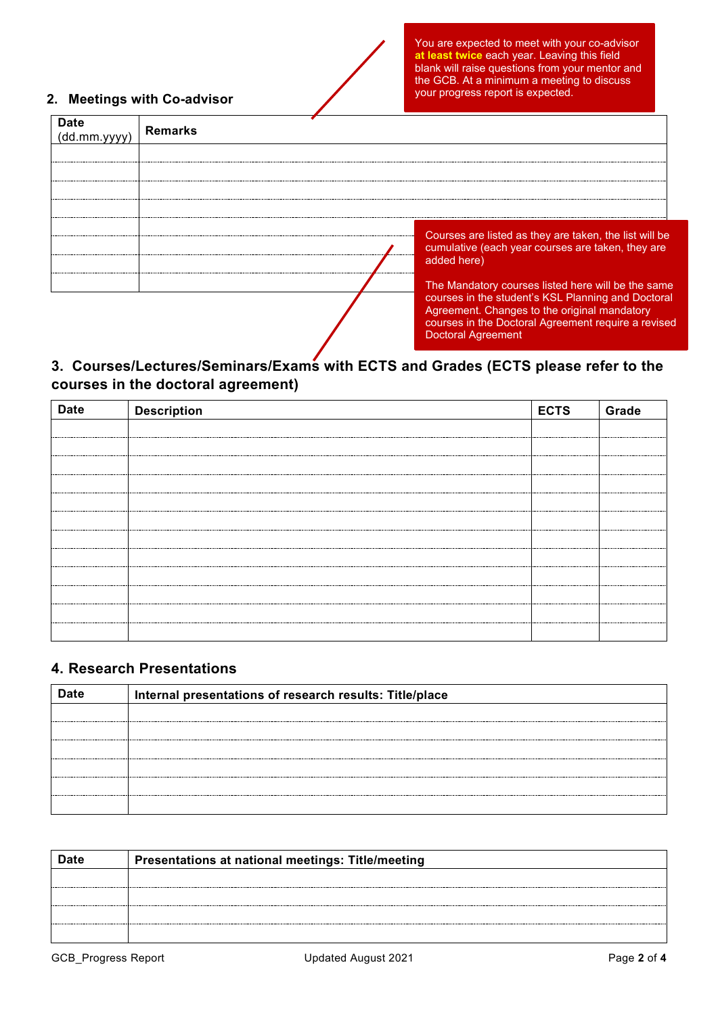#### **2. Meetings with Co-advisor**

Agreement. Changes to the original mandatory courses in the Doctoral Agreement require a revised

Doctoral Agreement

| (dd.mm.vvvv | <b>Remarks</b>      |                                                                                                             |  |  |  |
|-------------|---------------------|-------------------------------------------------------------------------------------------------------------|--|--|--|
|             |                     |                                                                                                             |  |  |  |
|             |                     |                                                                                                             |  |  |  |
|             |                     |                                                                                                             |  |  |  |
|             |                     |                                                                                                             |  |  |  |
|             | --------------      | Courses are listed as they are taken, the list will be<br>cumulative (each year courses are taken, they are |  |  |  |
|             | <br>--------------- | added here)                                                                                                 |  |  |  |
|             |                     | The Mandatory courses listed here will be the same<br>courses in the student's KSL Planning and Doctoral    |  |  |  |

### **3. Courses/Lectures/Seminars/Exams with ECTS and Grades (ECTS please refer to the courses in the doctoral agreement)**

| <b>Date</b> | <b>Description</b> | <b>ECTS</b> | Grade |
|-------------|--------------------|-------------|-------|
|             |                    |             |       |
|             |                    |             |       |
|             |                    |             |       |
|             |                    |             |       |
|             |                    |             |       |
|             |                    |             |       |
|             |                    |             |       |
|             |                    |             |       |
|             |                    |             |       |
|             |                    |             |       |
|             |                    |             |       |
|             |                    |             |       |

#### **4. Research Presentations**

| Internal presentations of research results: Title/place |
|---------------------------------------------------------|
|                                                         |
|                                                         |
|                                                         |
|                                                         |
|                                                         |
|                                                         |

| <b>Date</b> | Presentations at national meetings: Title/meeting |
|-------------|---------------------------------------------------|
|             |                                                   |
|             |                                                   |
|             |                                                   |
|             |                                                   |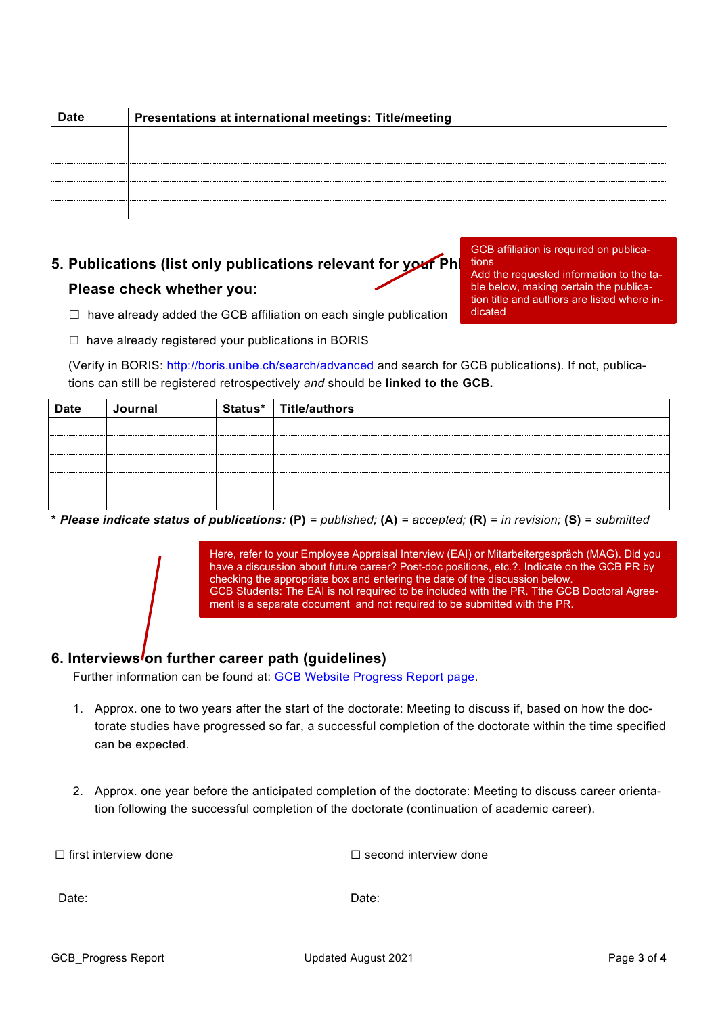| Presentations at international meetings: Title/meeting |
|--------------------------------------------------------|
|                                                        |
|                                                        |
|                                                        |
|                                                        |
|                                                        |
|                                                        |

# **5. Publications (list only publications relevant for your Ph Please check whether you:**

GCB affiliation is required on publications Add the requested information to the table below, making certain the publication title and authors are listed where in-

dicated

- $\Box$  have already added the GCB affiliation on each single publication
- ☐ have already registered your publications in BORIS

(Verify in BORIS:<http://boris.unibe.ch/search/advanced> and search for GCB publications). If not, publications can still be registered retrospectively *and* should be **linked to the GCB.**

| <b>Date</b> | Journal | Status* | Title/authors |
|-------------|---------|---------|---------------|
|             |         |         |               |
|             |         |         |               |
|             |         |         |               |
|             |         |         |               |
|             |         |         |               |

**\*** *Please indicate status of publications:* **(P)** *= published;* **(A)** *= accepted;* **(R)** *= in revision;* **(S)** *= submitted*

Here, refer to your Employee Appraisal Interview (EAI) or Mitarbeitergespräch (MAG). Did you have a discussion about future career? Post-doc positions, etc.?. Indicate on the GCB PR by checking the appropriate box and entering the date of the discussion below. GCB Students: The EAI is not required to be included with the PR. Tthe GCB Doctoral Agreement is a separate document and not required to be submitted with the PR.

#### 6. Interviews on further career path (quidelines)

Further information can be found at: [GCB Website Progress Report page.](https://www.gcb.unibe.ch/phd_program/progress_report/index_eng.html)

- 1. Approx. one to two years after the start of the doctorate: Meeting to discuss if, based on how the doctorate studies have progressed so far, a successful completion of the doctorate within the time specified can be expected.
- 2. Approx. one year before the anticipated completion of the doctorate: Meeting to discuss career orientation following the successful completion of the doctorate (continuation of academic career).

| $\Box$ first interview done | $\Box$ second interview done |  |
|-----------------------------|------------------------------|--|
|                             |                              |  |
| Date:                       | Date:                        |  |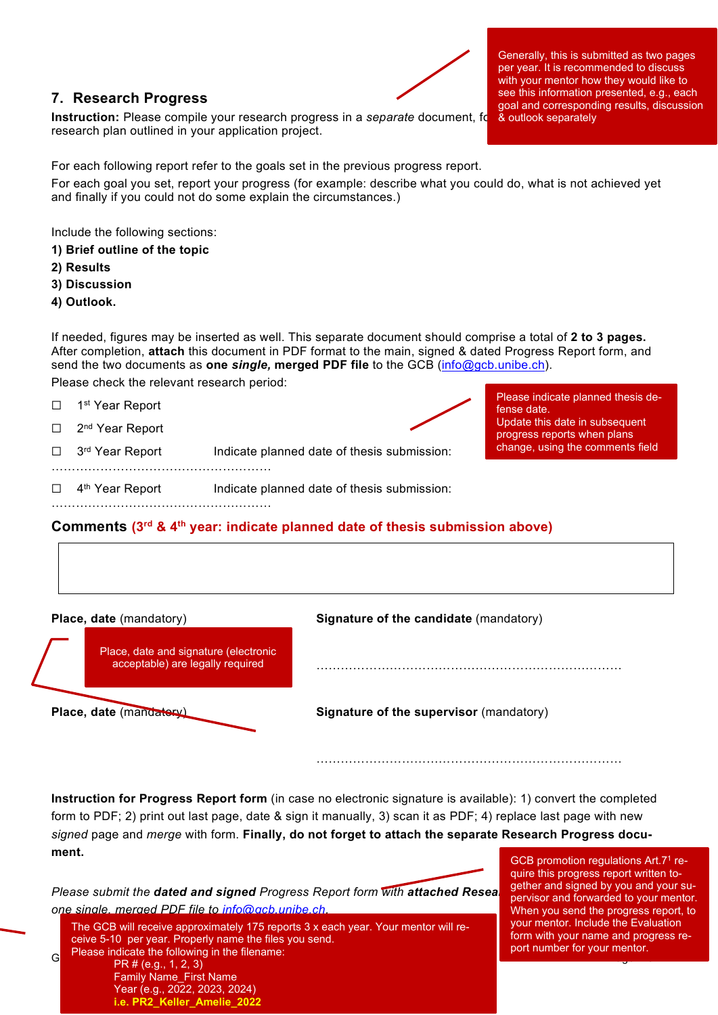#### **7. Research Progress**

**Instruction:** Please compile your research progress in a *separate* document, for research plan outlined in your application project.

Generally, this is submitted as two pages per year. It is recommended to discuss with your mentor how they would like to see this information presented, e.g., each goal and corresponding results, discussion & outlook separately

For each following report refer to the goals set in the previous progress report.

For each goal you set, report your progress (for example: describe what you could do, what is not achieved yet and finally if you could not do some explain the circumstances.)

Include the following sections:

- **1) Brief outline of the topic**
- **2) Results**
- **3) Discussion**
- **4) Outlook.**

If needed, figures may be inserted as well. This separate document should comprise a total of **2 to 3 pages.** After completion, **attach** this document in PDF format to the main, signed & dated Progress Report form, and send the two documents as **one** *single,* **merged PDF file** to the GCB [\(info@gcb.unibe.ch\)](mailto:info@gcb.unibe.ch).

Please check the relevant research period:

………………………………………………

- □ 1<sup>st</sup> Year Report
- □ 2<sup>nd</sup> Year Report



Please indicate planned thesis defense date. Update this date in subsequent progress reports when plans change, using the comments field

- □ 3<sup>rd</sup> Year Report Indicate planned date of thesis submission: …………………………………………………………
- □ 4<sup>th</sup> Year Report Indicate planned date of thesis submission:

#### **Comments (3rd & 4th year: indicate planned date of thesis submission above)**

| <b>Place, date (mandatory)</b>                                            | <b>Signature of the candidate (mandatory)</b> |
|---------------------------------------------------------------------------|-----------------------------------------------|
| Place, date and signature (electronic<br>acceptable) are legally required |                                               |

**Place, date** (mandatory) **Signature of the supervisors** (mandatory)

|  | Signature of the supervisor (mandatory) |  |
|--|-----------------------------------------|--|
|  |                                         |  |

…………………………………………………………………

**Instruction for Progress Report form** (in case no electronic signature is available): 1) convert the completed form to PDF; 2) print out last page, date & sign it manually, 3) scan it as PDF; 4) replace last page with new *signed* page and *merge* with form. **Finally, do not forget to attach the separate Research Progress document.**

*Please submit the dated and signed Progress Report form with attached Research Progress document <i>Progress one single, merged PDF file to [info@gcb.unibe.ch.](mailto:info@gcb.unibe.ch)* The GCB will receive approximately 175 reports 3 x each year. Your mentor will receive 5-10 per year. Properly name the files you send.

G<sub>C</sub> Please indicate the following in the filename:<br>G<sub>C</sub> Please indicate the following in the filename:<br>C<sub>C</sub> Please indicate the following in the filename:  $GCB$  promotion regulations Art.71 require this progress report written together and signed by you and your supervisor and forwarded to your mentor. When you send the progress report, to your mentor. Include the Evaluation form with your name and progress report number for your mentor.

PR # (e.g., 1, 2, 3) Family Name\_First Name Year (e.g., 2022, 2023, 2024) **i.e. PR2\_Keller\_Amelie\_2022**